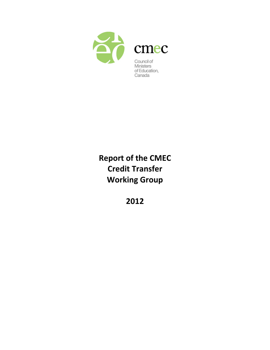

# **Report of the CMEC Credit Transfer Working Group**

**2012**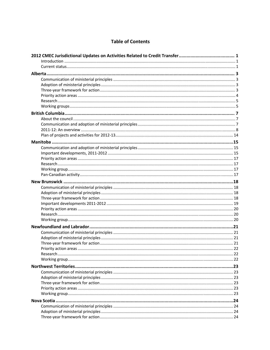#### **Table of Contents**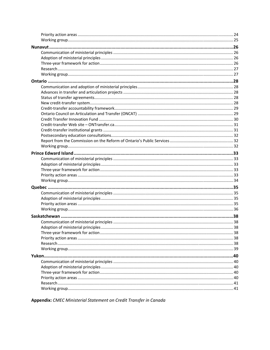Appendix: CMEC Ministerial Statement on Credit Transfer in Canada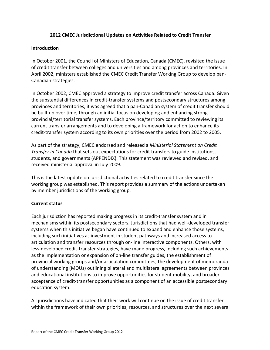# **2012 CMEC Jurisdictional Updates on Activities Related to Credit Transfer**

#### **Introduction**

In October 2001, the Council of Ministers of Education, Canada (CMEC), revisited the issue of credit transfer between colleges and universities and among provinces and territories. In April 2002, ministers established the CMEC Credit Transfer Working Group to develop pan‐ Canadian strategies.

In October 2002, CMEC approved a strategy to improve credit transfer across Canada. Given the substantial differences in credit‐transfer systems and postsecondary structures among provinces and territories, it was agreed that a pan‐Canadian system of credit transfer should be built up over time, through an initial focus on developing and enhancing strong provincial/territorial transfer systems. Each province/territory committed to reviewing its current transfer arrangements and to developing a framework for action to enhance its credit‐transfer system according to its own priorities over the period from 2002 to 2005.

As part of the strategy, CMEC endorsed and released a *Ministerial Statement on Credit Transfer in Canada* that sets out expectations for credit transfers to guide institutions, students, and governments (APPENDIX). This statement was reviewed and revised, and received ministerial approval in July 2009.

This is the latest update on jurisdictional activities related to credit transfer since the working group was established. This report provides a summary of the actions undertaken by member jurisdictions of the working group.

# **Current status**

Each jurisdiction has reported making progress in its credit‐transfer system and in mechanisms within its postsecondary sectors. Jurisdictions that had well‐developed transfer systems when this initiative began have continued to expand and enhance those systems, including such initiatives as investment in student pathways and increased access to articulation and transfer resources through on‐line interactive components. Others, with less‐developed credit‐transfer strategies, have made progress, including such achievements as the implementation or expansion of on‐line transfer guides, the establishment of provincial working groups and/or articulation committees, the development of memoranda of understanding (MOUs) outlining bilateral and multilateral agreements between provinces and educational institutions to improve opportunities for student mobility, and broader acceptance of credit‐transfer opportunities as a component of an accessible postsecondary education system.

All jurisdictions have indicated that their work will continue on the issue of credit transfer within the framework of their own priorities, resources, and structures over the next several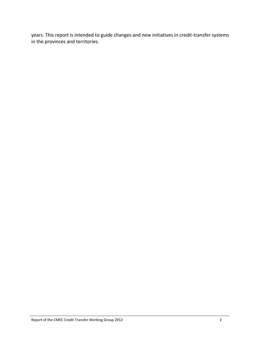years. This report is intended to guide changes and new initiatives in credit‐transfer systems in the provinces and territories.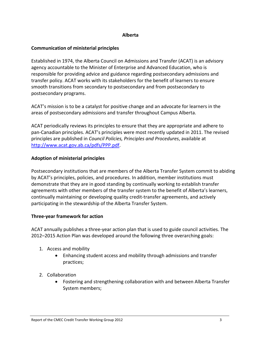#### **Alberta**

#### **Communication of ministerial principles**

Established in 1974, the Alberta Council on Admissions and Transfer (ACAT) is an advisory agency accountable to the Minister of Enterprise and Advanced Education, who is responsible for providing advice and guidance regarding postsecondary admissions and transfer policy. ACAT works with its stakeholders for the benefit of learners to ensure smooth transitions from secondary to postsecondary and from postsecondary to postsecondary programs.

ACAT's mission is to be a catalyst for positive change and an advocate for learners in the areas of postsecondary admissions and transfer throughout Campus Alberta.

ACAT periodically reviews its principles to ensure that they are appropriate and adhere to pan‐Canadian principles. ACAT's principles were most recently updated in 2011. The revised principles are published in *Council Policies, Principles and Procedures*, available at http://www.acat.gov.ab.ca/pdfs/PPP.pdf.

# **Adoption of ministerial principles**

Postsecondary institutions that are members of the Alberta Transfer System commit to abiding by ACAT's principles, policies, and procedures. In addition, member institutions must demonstrate that they are in good standing by continually working to establish transfer agreements with other members of the transfer system to the benefit of Alberta's learners, continually maintaining or developing quality credit‐transfer agreements, and actively participating in the stewardship of the Alberta Transfer System.

# **Three‐year framework for action**

ACAT annually publishes a three‐year action plan that is used to guide council activities. The 2012–2015 Action Plan was developed around the following three overarching goals:

- 1. Access and mobility
	- Enhancing student access and mobility through admissions and transfer practices;
- 2. Collaboration
	- Fostering and strengthening collaboration with and between Alberta Transfer System members;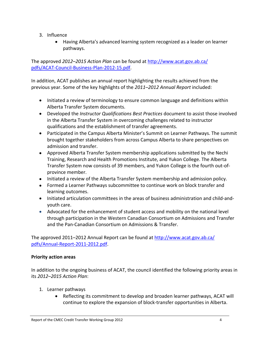- 3. Influence
	- Having Alberta's advanced learning system recognized as a leader on learner pathways.

The approved *2012–2015 Action Plan* can be found at http://www.acat.gov.ab.ca/ pdfs/ACAT‐Council‐Business‐Plan‐2012‐15.pdf.

In addition, ACAT publishes an annual report highlighting the results achieved from the previous year. Some of the key highlights of the *2011–2012 Annual Report* included:

- Initiated a review of terminology to ensure common language and definitions within Alberta Transfer System documents.
- Developed the *Instructor Qualifications Best Practices* document to assist those involved in the Alberta Transfer System in overcoming challenges related to instructor qualifications and the establishment of transfer agreements.
- Participated in the Campus Alberta Minister's Summit on Learner Pathways. The summit brought together stakeholders from across Campus Alberta to share perspectives on admission and transfer.
- Approved Alberta Transfer System membership applications submitted by the Nechi Training, Research and Health Promotions Institute, and Yukon College. The Alberta Transfer System now consists of 39 members, and Yukon College is the fourth out‐of‐ province member.
- Initiated a review of the Alberta Transfer System membership and admission policy.
- Formed a Learner Pathways subcommittee to continue work on block transfer and learning outcomes.
- Initiated articulation committees in the areas of business administration and child-andyouth care.
- Advocated for the enhancement of student access and mobility on the national level through participation in the Western Canadian Consortium on Admissions and Transfer and the Pan‐Canadian Consortium on Admissions & Transfer.

The approved 2011–2012 Annual Report can be found at http://www.acat.gov.ab.ca/ pdfs/Annual‐Report‐2011‐2012.pdf.

# **Priority action areas**

In addition to the ongoing business of ACAT, the council identified the following priority areas in its *2012–2015 Action Plan*:

- 1. Learner pathways
	- Reflecting its commitment to develop and broaden learner pathways, ACAT will continue to explore the expansion of block‐transfer opportunities in Alberta.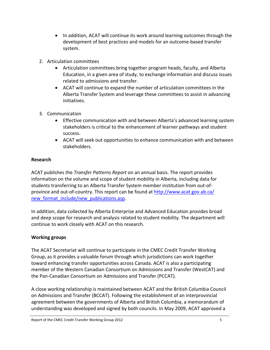- In addition, ACAT will continue its work around learning outcomes through the development of best practices and models for an outcome‐based transfer system.
- 2. Articulation committees
	- Articulation committees bring together program heads, faculty, and Alberta Education, in a given area of study, to exchange information and discuss issues related to admissions and transfer.
	- ACAT will continue to expand the number of articulation committees in the Alberta Transfer System and leverage these committees to assist in advancing initiatives.
- 3. Communication
	- Effective communication with and between Alberta's advanced learning system stakeholders is critical to the enhancement of learner pathways and student success.
	- ACAT will seek out opportunities to enhance communication with and between stakeholders.

# **Research**

ACAT publishes the *Transfer Patterns Report* on an annual basis. The report provides information on the volume and scope of student mobility in Alberta, including data for students transferring to an Alberta Transfer System member institution from out‐of‐ province and out‐of‐country. This report can be found at http://www.acat.gov.ab.ca/ new format include/new publications.asp.

In addition, data collected by Alberta Enterprise and Advanced Education provides broad and deep scope for research and analysis related to student mobility. The department will continue to work closely with ACAT on this research.

# **Working groups**

The ACAT Secretariat will continue to participate in the CMEC Credit Transfer Working Group, as it provides a valuable forum through which jurisdictions can work together toward enhancing transfer opportunities across Canada. ACAT is also a participating member of the Western Canadian Consortium on Admissions and Transfer (WestCAT) and the Pan‐Canadian Consortium on Admissions and Transfer (PCCAT).

A close working relationship is maintained between ACAT and the British Columbia Council on Admissions and Transfer (BCCAT). Following the establishment of an interprovincial agreement between the governments of Alberta and British Columbia, a memorandum of understanding was developed and signed by both councils. In May 2009, ACAT approved a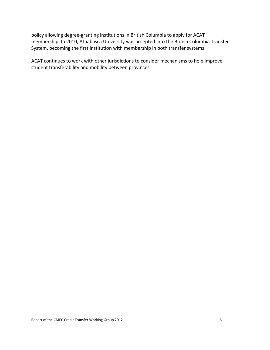policy allowing degree‐granting institutions in British Columbia to apply for ACAT membership. In 2010, Athabasca University was accepted into the British Columbia Transfer System, becoming the first institution with membership in both transfer systems.

ACAT continues to work with other jurisdictions to consider mechanisms to help improve student transferability and mobility between provinces.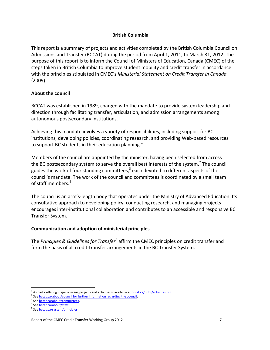#### **British Columbia**

This report is a summary of projects and activities completed by the British Columbia Council on Admissions and Transfer (BCCAT) during the period from April 1, 2011, to March 31, 2012. The purpose of this report is to inform the Council of Ministers of Education, Canada (CMEC) of the steps taken in British Columbia to improve student mobility and credit transfer in accordance with the principles stipulated in CMEC's *Ministerial Statement on Credit Transfer in Canada* (2009).

#### **About the council**

BCCAT was established in 1989, charged with the mandate to provide system leadership and direction through facilitating transfer, articulation, and admission arrangements among autonomous postsecondary institutions.

Achieving this mandate involves a variety of responsibilities, including support for BC institutions, developing policies, coordinating research, and providing Web-based resources to support BC students in their education planning.<sup>1</sup>

Members of the council are appointed by the minister, having been selected from across the BC postsecondary system to serve the overall best interests of the system.<sup>2</sup> The council guides the work of four standing committees, $3$  each devoted to different aspects of the council's mandate. The work of the council and committees is coordinated by a small team of staff members.4

The council is an arm's‐length body that operates under the Ministry of Advanced Education. Its consultative approach to developing policy, conducting research, and managing projects encourages inter‐institutional collaboration and contributes to an accessible and responsive BC Transfer System.

#### **Communication and adoption of ministerial principles**

The *Principles & Guidelines for Transfer*<sup>5</sup> affirm the CMEC principles on credit transfer and form the basis of all credit-transfer arrangements in the BC Transfer System.

 $\overline{a}$  $^1$  A chart outlining major ongoing projects and activities is available at  $\frac{bccat.ca/pubs/activities.pdf}{bccat.}$ 

<sup>&</sup>lt;sup>2</sup> See bccat.ca/about/council for further information regarding the council.

<sup>&</sup>lt;sup>3</sup> See **bccat.ca/about/committees**.

<sup>&</sup>lt;sup>4</sup> See **bccat.ca/about/staff.**<br><sup>5</sup> See bccat.ca/system/principles.

Report of the CMEC Credit Transfer Working Group 2012  **1998** 7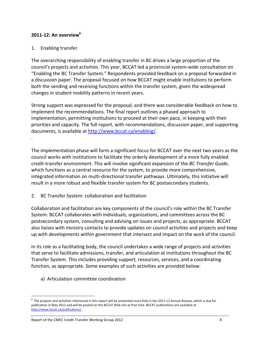#### **2011‐12: An overview6**

#### 1. Enabling transfer

The overarching responsibility of enabling transfer in BC drives a large proportion of the council's projects and activities. This year, BCCAT led a provincial system‐wide consultation on "Enabling the BC Transfer System." Respondents provided feedback on a proposal forwarded in a discussion paper. The proposal focused on how BCCAT might enable institutions to perform both the sending and receiving functions within the transfer system, given the widespread changes in student mobility patterns in recent years.

Strong support was expressed for the proposal, and there was considerable feedback on how to implement the recommendations. The final report outlines a phased approach to implementation, permitting institutions to proceed at their own pace, in keeping with their priorities and capacity. The full report, with recommendations, discussion paper, and supporting documents, is available at http://www.bccat.ca/enabling/. .

The implementation phase will form a significant focus for BCCAT over the next two years as the council works with institutions to facilitate the orderly development of a more fully enabled credit‐transfer environment. This will involve significant expansion of the *BC Transfer Guide*, which functions as a central resource for the system, to provide more comprehensive, integrated information on multi-directional transfer pathways. Ultimately, this initiative will result in a more robust and flexible transfer system for BC postsecondary students.

2. BC Transfer System: collaboration and facilitation

Collaboration and facilitation are key components of the council's role within the BC Transfer System. BCCAT collaborates with individuals, organizations, and committees across the BC postsecondary system, consulting and advising on issues and projects, as appropriate. BCCAT also liaises with ministry contacts to provide updates on council activities and projects and keep up with developments within government that intersect and impact on the work of the council.

In its role as a facilitating body, the council undertakes a wide range of projects and activities that serve to facilitate admissions, transfer, and articulation at institutions throughout the BC Transfer System. This includes providing support, resources, services, and a coordinating function, as appropriate. Some examples of such activities are provided below:

a) Articulation committee coordination

 $\overline{a}$ 

 $6$  The projects and activities referenced in this report will be presented more fully in the 2011-12 Annual Review, which is due for publication in May 2012 and will be posted on the BCCAT Web site at that time. BCCAT publications are available at http://www.bccat.ca/publications/.

Report of the CMEC Credit Transfer Working Group 2012  **1998** 8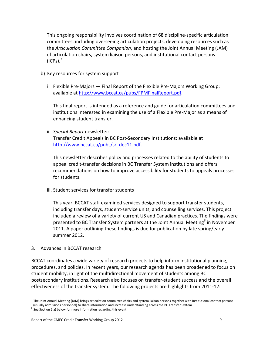This ongoing responsibility involves coordination of 68 discipline‐specific articulation committees, including overseeing articulation projects, developing resources such as the *Articulation Committee Companion*, and hosting the Joint Annual Meeting (JAM) of articulation chairs, system liaison persons, and institutional contact persons  $(ICPs).<sup>7</sup>$ 

- b) Key resources for system support
	- i. Flexible Pre‐Majors Final Report of the Flexible Pre‐Majors Working Group: available at http://www.bccat.ca/pubs/FPMFinalReport.pdf.

This final report is intended as a reference and guide for articulation committees and institutions interested in examining the use of a Flexible Pre‐Major as a means of enhancing student transfer.

ii. *Special Report* newsletter:

Transfer Credit Appeals in BC Post‐Secondary Institutions: available at http://www.bccat.ca/pubs/sr\_dec11.pdf.

This newsletter describes policy and processes related to the ability of students to appeal credit‐transfer decisions in BC Transfer System institutions and offers recommendations on how to improve accessibility for students to appeals processes for students.

iii. Student services for transfer students

This year, BCCAT staff examined services designed to support transfer students, including transfer days, student‐service units, and counselling services. This project included a review of a variety of current US and Canadian practices. The findings were presented to BC Transfer System partners at the Joint Annual Meeting<sup>8</sup> in November 2011. A paper outlining these findings is due for publication by late spring/early summer 2012.

3. Advances in BCCAT research

BCCAT coordinates a wide variety of research projects to help inform institutional planning, procedures, and policies. In recent years, our research agenda has been broadened to focus on student mobility, in light of the multidirectional movement of students among BC postsecondary institutions. Research also focuses on transfer‐student success and the overall effectiveness of the transfer system. The following projects are highlights from 2011‐12:

#### Report of the CMEC Credit Transfer Working Group 2012  **1998** 9

 $\overline{a}$  $^7$  The Joint Annual Meeting (JAM) brings articulation committee chairs and system liaison persons together with Institutional contact persons (usually admissions personnel) to share information and increase understanding across the BC Transfer System.<br><sup>8</sup> See Section 5 a) below for more information regarding this event.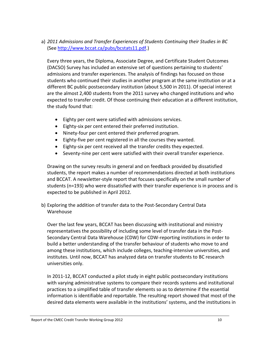# a) *2011 Admissions and Transfer Experiences of Students Continuing their Studies in BC* (See http://www.bccat.ca/pubs/bcstats11.pdf.)

Every three years, the Diploma, Associate Degree, and Certificate Student Outcomes (DACSO) Survey has included an extensive set of questions pertaining to students' admissions and transfer experiences. The analysis of findings has focused on those students who continued their studies in another program at the same institution or at a different BC public postsecondary institution (about 5,500 in 2011). Of special interest are the almost 2,400 students from the 2011 survey who changed institutions and who expected to transfer credit. Of those continuing their education at a different institution, the study found that:

- Eighty per cent were satisfied with admissions services.
- Eighty‐six per cent entered their preferred institution.
- Ninety-four per cent entered their preferred program.
- Eighty-five per cent registered in all the courses they wanted.
- Eighty-six per cent received all the transfer credits they expected.
- Seventy-nine per cent were satisfied with their overall transfer experience.

Drawing on the survey results in general and on feedback provided by dissatisfied students, the report makes a number of recommendations directed at both institutions and BCCAT. A newsletter‐style report that focuses specifically on the small number of students (n=193) who were dissatisfied with their transfer experience is in process and is expected to be published in April 2012.

b) Exploring the addition of transfer data to the Post‐Secondary Central Data Warehouse

Over the last few years, BCCAT has been discussing with institutional and ministry representatives the possibility of including some level of transfer data in the Post‐ Secondary Central Data Warehouse (CDW) for CDW‐reporting institutions in order to build a better understanding of the transfer behaviour of students who move to and among these institutions, which include colleges, teaching-intensive universities, and institutes. Until now, BCCAT has analyzed data on transfer students to BC research universities only.

In 2011‐12, BCCAT conducted a pilot study in eight public postsecondary institutions with varying administrative systems to compare their records systems and institutional practices to a simplified table of transfer elements so as to determine if the essential information is identifiable and reportable. The resulting report showed that most of the desired data elements were available in the institutions' systems, and the institutions in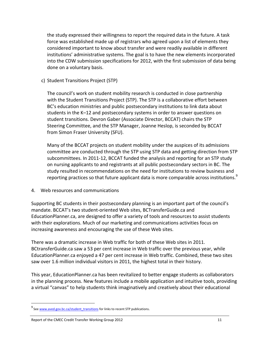the study expressed their willingness to report the required data in the future. A task force was established made up of registrars who agreed upon a list of elements they considered important to know about transfer and were readily available in different institutions' administrative systems. The goal is to have the new elements incorporated into the CDW submission specifications for 2012, with the first submission of data being done on a voluntary basis.

c) Student Transitions Project (STP)

The council's work on student mobility research is conducted in close partnership with the Student Transitions Project (STP). The STP is a collaborative effort between BC's education ministries and public postsecondary institutions to link data about students in the K–12 and postsecondary systems in order to answer questions on student transitions. Devron Gaber (Associate Director, BCCAT) chairs the STP Steering Committee, and the STP Manager, Joanne Heslop, is seconded by BCCAT from Simon Fraser University (SFU).

Many of the BCCAT projects on student mobility under the auspices of its admissions committee are conducted through the STP using STP data and getting direction from STP subcommittees. In 2011‐12, BCCAT funded the analysis and reporting for an STP study on nursing applicants to and registrants at all public postsecondary sectors in BC. The study resulted in recommendations on the need for institutions to review business and reporting practices so that future applicant data is more comparable across institutions.<sup>9</sup>

4. Web resources and communications

Supporting BC students in their postsecondary planning is an important part of the council's mandate. BCCAT's two student‐oriented Web sites, BCTransferGuide.ca and EducationPlanner.ca, are designed to offer a variety of tools and resources to assist students with their explorations. Much of our marketing and communications activities focus on increasing awareness and encouraging the use of these Web sites.

There was a dramatic increase in Web traffic for both of these Web sites in 2011. BCtransferGuide.ca saw a 53 per cent increase in Web traffic over the previous year, while EducationPlanner.ca enjoyed a 47 per cent increase in Web traffic. Combined, these two sites saw over 1.6 million individual visitors in 2011, the highest total in their history.

This year, EducationPlanner.ca has been revitalized to better engage students as collaborators in the planning process. New features include a mobile application and intuitive tools, providing a virtual "canvas" to help students think imaginatively and creatively about their educational

j

<sup>&</sup>lt;sup>9</sup> See www.aved.gov.bc.ca/student\_transitions for links to recent STP publications.

Report of the CMEC Credit Transfer Working Group 2012 **11** and the control of the CMEC Credit Transfer Working Group 2012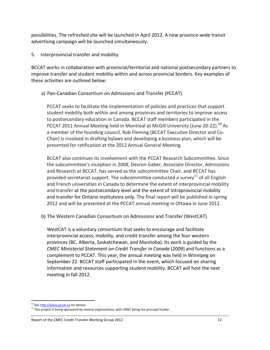possibilities. The refreshed site will be launched in April 2012. A new province‐wide transit advertising campaign will be launched simultaneously.

5. Interprovincial transfer and mobility

BCCAT works in collaboration with provincial/territorial and national postsecondary partners to improve transfer and student mobility within and across provincial borders. Key examples of these activities are outlined below:

# a) Pan‐Canadian Consortium on Admissions and Transfer (PCCAT)

PCCAT seeks to facilitate the implementation of policies and practices that support student mobility both within and among provinces and territories to improve access to postsecondary education in Canada. BCCAT staff members participated in the PCCAT 2011 Annual Meeting held in Montreal at McGill University (June 20-22).<sup>10</sup> As a member of the founding council, Rob Fleming (BCCAT Executive Director and Co‐ Chair) is involved in drafting bylaws and developing a business plan, which will be presented for ratification at the 2012 Annual General Meeting.

BCCAT also continues its involvement with the PCCAT Research Subcommittee. Since the subcommittee's inception in 2008, Devron Gaber, Associate Director, Admissions and Research at BCCAT, has served as the subcommittee Chair, and BCCAT has provided secretariat support. The subcommittee conducted a survey<sup>11</sup> of all English and French universities in Canada to determine the extent of interprovincial mobility and transfer at the postsecondary level and the extent of intraprovincial mobility and transfer for Ontario institutions only. The final report will be published in spring 2012 and will be presented at the PCCAT annual meeting in Ottawa in June 2012.

b) The Western Canadian Consortium on Admissions and Transfer (WestCAT)

WestCAT is a voluntary consortium that seeks to encourage and facilitate interprovincial access, mobility, and credit transfer among the four western provinces (BC, Alberta, Saskatchewan, and Manitoba). Its work is guided by the *CMEC Ministerial Statement on Credit Transfer in Canada* (2009) and functions as a complement to PCCAT. This year, the annual meeting was held in Winnipeg on September 22. BCCAT staff participated in the event, which focused on sharing information and resources supporting student mobility. BCCAT will host the next meeting in fall 2012.

 $\overline{a}$ 

<sup>&</sup>lt;sup>10</sup> See http://www.pccat.ca</u> for details.<br><sup>11</sup> This project is being sponsored by several organizations, with CMEC being the principal funder.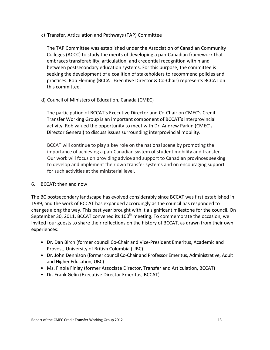c) Transfer, Articulation and Pathways (TAP) Committee

The TAP Committee was established under the Association of Canadian Community Colleges (ACCC) to study the merits of developing a pan‐Canadian framework that embraces transferability, articulation, and credential recognition within and between postsecondary education systems. For this purpose, the committee is seeking the development of a coalition of stakeholders to recommend policies and practices. Rob Fleming (BCCAT Executive Director & Co‐Chair) represents BCCAT on this committee.

d) Council of Ministers of Education, Canada (CMEC)

The participation of BCCAT's Executive Director and Co‐Chair on CMEC's Credit Transfer Working Group is an important component of BCCAT's interprovincial activity. Rob valued the opportunity to meet with Dr. Andrew Parkin (CMEC's Director General) to discuss issues surrounding interprovincial mobility.

BCCAT will continue to play a key role on the national scene by promoting the importance of achieving a pan‐Canadian system of student mobility and transfer. Our work will focus on providing advice and support to Canadian provinces seeking to develop and implement their own transfer systems and on encouraging support for such activities at the ministerial level.

#### 6. BCCAT: then and now

The BC postsecondary landscape has evolved considerably since BCCAT was first established in 1989, and the work of BCCAT has expanded accordingly as the council has responded to changes along the way. This past year brought with it a significant milestone for the council. On September 30, 2011, BCCAT convened its  $100<sup>th</sup>$  meeting. To commemorate the occasion, we invited four guests to share their reflections on the history of BCCAT, as drawn from their own experiences:

- Dr. Dan Birch [former council Co‐Chair and Vice‐President Emeritus, Academic and Provost, University of British Columbia (UBC)]
- Dr. John Dennison (former council Co‐Chair and Professor Emeritus, Administrative, Adult and Higher Education, UBC)
- Ms. Finola Finlay (former Associate Director, Transfer and Articulation, BCCAT)
- Dr. Frank Gelin (Executive Director Emeritus, BCCAT)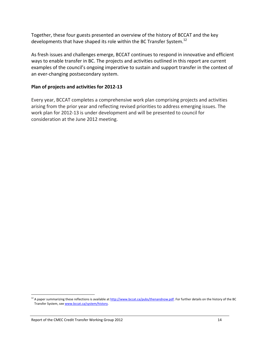Together, these four guests presented an overview of the history of BCCAT and the key developments that have shaped its role within the BC Transfer System.<sup>12</sup>

As fresh issues and challenges emerge, BCCAT continues to respond in innovative and efficient ways to enable transfer in BC. The projects and activities outlined in this report are current examples of the council's ongoing imperative to sustain and support transfer in the context of an ever-changing postsecondary system.

#### **Plan of projects and activities for 2012‐13**

Every year, BCCAT completes a comprehensive work plan comprising projects and activities arising from the prior year and reflecting revised priorities to address emerging issues. The work plan for 2012‐13 is under development and will be presented to council for consideration at the June 2012 meeting.

j  $^{12}$  A paper summarizing these reflections is available at  $\underline{http://www.bccat.ca/pubs/thenandnow.pdf}$ . For further details on the history of the BC Transfer System, see www.bccat.ca/system/history.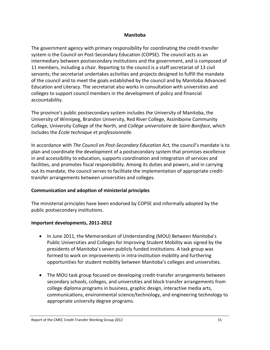#### **Manitoba**

The government agency with primary responsibility for coordinating the credit‐transfer system is the Council on Post‐Secondary Education (COPSE). The council acts as an intermediary between postsecondary institutions and the government, and is composed of 11 members, including a chair. Reporting to the council is a staff secretariat of 13 civil servants; the secretariat undertakes activities and projects designed to fulfill the mandate of the council and to meet the goals established by the council and by Manitoba Advanced Education and Literacy. The secretariat also works in consultation with universities and colleges to support council members in the development of policy and financial accountability.

The province's public postsecondary system includes the University of Manitoba, the University of Winnipeg, Brandon University, Red River College, Assiniboine Community College, University College of the North, and *Collège universitaire de Saint‐Boniface*, which includes the *École technique et professionnelle*.

In accordance with *The Council on Post‐Secondary Education Act,* the council's mandate is to plan and coordinate the development of a postsecondary system that promises excellence in and accessibility to education, supports coordination and integration of services and facilities, and promotes fiscal responsibility. Among its duties and powers, and in carrying out its mandate, the council serves to facilitate the implementation of appropriate credit‐ transfer arrangements between universities and colleges.

#### **Communication and adoption of ministerial principles**

The ministerial principles have been endorsed by COPSE and informally adopted by the public postsecondary institutions.

#### **Important developments, 2011‐2012**

- In June 2011, the Memorandum of Understanding (MOU) Between Manitoba's Public Universities and Colleges for Improving Student Mobility was signed by the presidents of Manitoba's seven publicly funded institutions. A task group was formed to work on improvements in intra-institution mobility and furthering opportunities for student mobility between Manitoba's colleges and universities.
- The MOU task group focused on developing credit-transfer arrangements between secondary schools, colleges, and universities and block transfer arrangements from college diploma programs in business, graphic design, interactive media arts, communications, environmental science/technology, and engineering technology to appropriate university degree programs.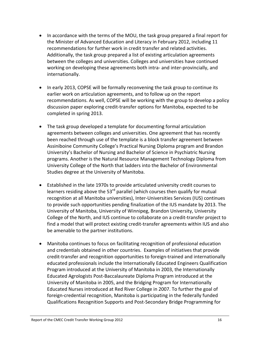- In accordance with the terms of the MOU, the task group prepared a final report for the Minister of Advanced Education and Literacy in February 2012, including 11 recommendations for further work in credit transfer and related activities. Additionally, the task group prepared a list of existing articulation agreements between the colleges and universities. Colleges and universities have continued working on developing these agreements both intra‐ and inter‐provincially, and internationally.
- In early 2013, COPSE will be formally reconvening the task group to continue its earlier work on articulation agreements, and to follow up on the report recommendations. As well, COPSE will be working with the group to develop a policy discussion paper exploring credit‐transfer options for Manitoba, expected to be completed in spring 2013.
- The task group developed a template for documenting formal articulation agreements between colleges and universities. One agreement that has recently been reached through use of the template is a block transfer agreement between Assiniboine Community College's Practical Nursing Diploma program and Brandon University's Bachelor of Nursing and Bachelor of Science in Psychiatric Nursing programs. Another is the Natural Resource Management Technology Diploma from University College of the North that ladders into the Bachelor of Environmental Studies degree at the University of Manitoba.
- Established in the late 1970s to provide articulated university credit courses to learners residing above the 53<sup>rd</sup> parallel (which courses then qualify for mutual recognition at all Manitoba universities), Inter‐Universities Services (IUS) continues to provide such opportunities pending finalization of the IUS mandate by 2013. The University of Manitoba, University of Winnipeg, Brandon University, University College of the North, and IUS continue to collaborate on a credit‐transfer project to find a model that will protect existing credit‐transfer agreements within IUS and also be amenable to the partner institutions.
- Manitoba continues to focus on facilitating recognition of professional education and credentials obtained in other countries. Examples of initiatives that provide credit‐transfer and recognition opportunities to foreign‐trained and internationally educated professionals include the Internationally Educated Engineers Qualification Program introduced at the University of Manitoba in 2003, the Internationally Educated Agrologists Post‐Baccalaureate Diploma Program introduced at the University of Manitoba in 2005, and the Bridging Program for Internationally Educated Nurses introduced at Red River College in 2007. To further the goal of foreign‐credential recognition, Manitoba is participating in the federally funded Qualifications Recognition Supports and Post‐Secondary Bridge Programming for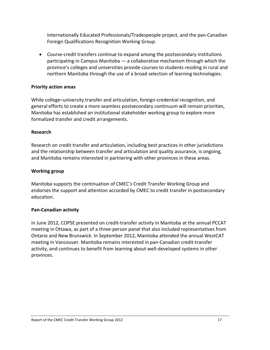Internationally Educated Professionals/Tradespeople project, and the pan‐Canadian Foreign Qualifications Recognition Working Group.

● Course-credit transfers continue to expand among the postsecondary institutions participating in Campus Manitoba — a collaborative mechanism through which the province's colleges and universities provide courses to students residing in rural and northern Manitoba through the use of a broad selection of learning technologies.

#### **Priority action areas**

While college–university transfer and articulation, foreign-credential recognition, and general efforts to create a more seamless postsecondary continuum will remain priorities, Manitoba has established an institutional stakeholder working group to explore more formalized transfer and credit arrangements.

#### **Research**

Research on credit transfer and articulation, including best practices in other jurisdictions and the relationship between transfer and articulation and quality assurance, is ongoing, and Manitoba remains interested in partnering with other provinces in these areas.

#### **Working group**

Manitoba supports the continuation of CMEC's Credit Transfer Working Group and endorses the support and attention accorded by CMEC to credit transfer in postsecondary education.

#### **Pan‐Canadian activity**

In June 2012, COPSE presented on credit‐transfer activity in Manitoba at the annual PCCAT meeting in Ottawa, as part of a three‐person panel that also included representatives from Ontario and New Brunswick. In September 2012, Manitoba attended the annual WestCAT meeting in Vancouver. Manitoba remains interested in pan‐Canadian credit‐transfer activity, and continues to benefit from learning about well‐developed systems in other provinces.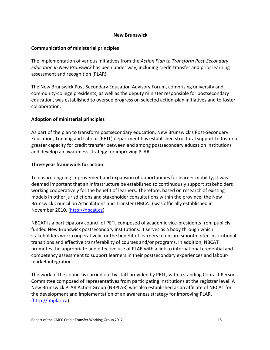#### **New Brunswick**

#### **Communication of ministerial principles**

The implementation of various initiatives from the *Action Plan to Transform Post‐Secondary Education in New Brunswick* has been under way, including credit transfer and prior learning assessment and recognition (PLAR).

The New Brunswick Post‐Secondary Education Advisory Forum, comprising university and community‐college presidents, as well as the deputy minister responsible for postsecondary education, was established to oversee progress on selected action‐plan initiatives and to foster collaboration.

# **Adoption of ministerial principles**

As part of the plan to transform postsecondary education, New Brunswick's Post‐Secondary Education, Training and Labour (PETL) department has established structural support to foster a greater capacity for credit transfer between and among postsecondary education institutions and develop an awareness strategy for improving PLAR.

#### **Three‐year framework for action**

To ensure ongoing improvement and expansion of opportunities for learner mobility, it was deemed important that an infrastructure be established to continuously support stakeholders working cooperatively for the benefit of learners. Therefore, based on research of existing models in other jurisdictions and stakeholder consultations within the province, the New Brunswick Council on Articulations and Transfer (NBCAT) was officially established in November 2010. (http://nbcat.ca)

NBCAT is a participatory council of PETL composed of academic vice‐presidents from publicly funded New Brunswick postsecondary institutions. It serves as a body through which stakeholders work cooperatively for the benefit of learners to ensure smooth inter‐institutional transitions and effective transferability of courses and/or programs. In addition, NBCAT promotes the appropriate and effective use of PLAR with a link to international credential and competency assessment to support learners in their postsecondary experiences and labour‐ market integration.

The work of the council is carried out by staff provided by PETL, with a standing Contact Persons Committee composed of representatives from participating institutions at the registrar level. A New Brunswick PLAR Action Group (NBPLAR) was also established as an affiliate of NBCAT for the development and implementation of an awareness strategy for improving PLAR. (http://nbplar.ca)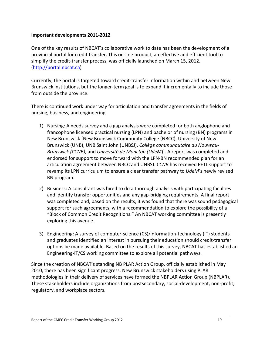#### **Important developments 2011‐2012**

One of the key results of NBCAT's collaborative work to date has been the development of a provincial portal for credit transfer. This on‐line product, an effective and efficient tool to simplify the credit‐transfer process, was officially launched on March 15, 2012. (http://portal.nbcat.ca)

Currently, the portal is targeted toward credit‐transfer information within and between New Brunswick institutions, but the longer‐term goal is to expand it incrementally to include those from outside the province.

There is continued work under way for articulation and transfer agreements in the fields of nursing, business, and engineering.

- 1) Nursing: A needs survey and a gap analysis were completed for both anglophone and francophone licensed practical nursing (LPN) and bachelor of nursing (BN) programs in New Brunswick [New Brunswick Community College (NBCC), University of New Brunswick (UNB), UNB Saint John (UNBSJ), *Collège communautaire du Nouveau‐ Brunswick (CCNB),* and *Université de Moncton (UdeM*)]. A report was completed and endorsed for support to move forward with the LPN‐BN recommended plan for an articulation agreement between NBCC and UNBSJ. *CCNB* has received PETL support to revamp its LPN curriculum to ensure a clear transfer pathway to *UdeM*'s newly revised BN program.
- 2) Business: A consultant was hired to do a thorough analysis with participating faculties and identify transfer opportunities and any gap‐bridging requirements. A final report was completed and, based on the results, it was found that there was sound pedagogical support for such agreements, with a recommendation to explore the possibility of a "Block of Common Credit Recognitions." An NBCAT working committee is presently exploring this avenue.
- 3) Engineering: A survey of computer‐science (CS)/information‐technology (IT) students and graduates identified an interest in pursuing their education should credit‐transfer options be made available. Based on the results of this survey, NBCAT has established an Engineering‐IT/CS working committee to explore all potential pathways.

Since the creation of NBCAT's standing NB PLAR Action Group, officially established in May 2010, there has been significant progress. New Brunswick stakeholders using PLAR methodologies in their delivery of services have formed the NBPLAR Action Group (NBPLAR). These stakeholders include organizations from postsecondary, social‐development, non‐profit, regulatory, and workplace sectors.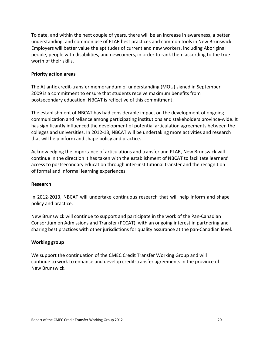To date, and within the next couple of years, there will be an increase in awareness, a better understanding, and common use of PLAR best practices and common tools in New Brunswick. Employers will better value the aptitudes of current and new workers, including Aboriginal people, people with disabilities, and newcomers, in order to rank them according to the true worth of their skills.

#### **Priority action areas**

The Atlantic credit‐transfer memorandum of understanding (MOU) signed in September 2009 is a commitment to ensure that students receive maximum benefits from postsecondary education. NBCAT is reflective of this commitment.

The establishment of NBCAT has had considerable impact on the development of ongoing communication and reliance among participating institutions and stakeholders province‐wide. It has significantly influenced the development of potential articulation agreements between the colleges and universities. In 2012‐13, NBCAT will be undertaking more activities and research that will help inform and shape policy and practice.

Acknowledging the importance of articulations and transfer and PLAR, New Brunswick will continue in the direction it has taken with the establishment of NBCAT to facilitate learners' access to postsecondary education through inter‐institutional transfer and the recognition of formal and informal learning experiences.

#### **Research**

In 2012‐2013, NBCAT will undertake continuous research that will help inform and shape policy and practice.

New Brunswick will continue to support and participate in the work of the Pan‐Canadian Consortium on Admissions and Transfer (PCCAT), with an ongoing interest in partnering and sharing best practices with other jurisdictions for quality assurance at the pan‐Canadian level.

#### **Working group**

We support the continuation of the CMEC Credit Transfer Working Group and will continue to work to enhance and develop credit‐transfer agreements in the province of New Brunswick.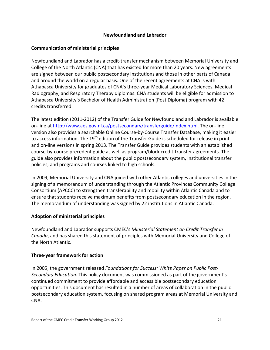#### **Newfoundland and Labrador**

# **Communication of ministerial principles**

Newfoundland and Labrador has a credit‐transfer mechanism between Memorial University and College of the North Atlantic (CNA) that has existed for more than 20 years. New agreements are signed between our public postsecondary institutions and those in other parts of Canada and around the world on a regular basis. One of the recent agreements at CNA is with Athabasca University for graduates of CNA's three‐year Medical Laboratory Sciences, Medical Radiography, and Respiratory Therapy diplomas. CNA students will be eligible for admission to Athabasca University's Bachelor of Health Administration (Post Diploma) program with 42 credits transferred.

The latest edition (2011‐2012) of the Transfer Guide for Newfoundland and Labrador is available on‐line at http://www.aes.gov.nl.ca/postsecondary/transferguide/index.html. The on‐line version also provides a searchable Online Course‐by‐Course Transfer Database, making it easier to access information. The 19<sup>th</sup> edition of the Transfer Guide is scheduled for release in print and on-line versions in spring 2013. The Transfer Guide provides students with an established course‐by‐course precedent guide as well as program/block credit‐transfer agreements. The guide also provides information about the public postsecondary system, institutional transfer policies, and programs and courses linked to high schools.

In 2009, Memorial University and CNA joined with other Atlantic colleges and universities in the signing of a memorandum of understanding through the Atlantic Provinces Community College Consortium (APCCC) to strengthen transferability and mobility within Atlantic Canada and to ensure that students receive maximum benefits from postsecondary education in the region. The memorandum of understanding was signed by 22 institutions in Atlantic Canada.

# **Adoption of ministerial principles**

Newfoundland and Labrador supports CMEC's *Ministerial Statement on Credit Transfer in Canada*, and has shared this statement of principles with Memorial University and College of the North Atlantic.

# **Three‐year framework for action**

In 2005, the government released *Foundations for Success: White Paper on Public Post‐ Secondary Education*. This policy document was commissioned as part of the government's continued commitment to provide affordable and accessible postsecondary education opportunities. This document has resulted in a number of areas of collaboration in the public postsecondary education system, focusing on shared program areas at Memorial University and CNA.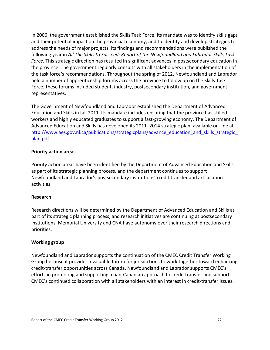In 2006, the government established the Skills Task Force. Its mandate was to identify skills gaps and their potential impact on the provincial economy, and to identify and develop strategies to address the needs of major projects. Its findings and recommendations were published the following year in *All The Skills to Succeed: Report of the Newfoundland and Labrador Skills Task Force.* This strategic direction has resulted in significant advances in postsecondary education in the province. The government regularly consults with all stakeholders in the implementation of the task force's recommendations. Throughout the spring of 2012, Newfoundland and Labrador held a number of apprenticeship forums across the province to follow up on the Skills Task Force; these forums included student, industry, postsecondary institution, and government representatives.

The Government of Newfoundland and Labrador established the Department of Advanced Education and Skills in fall 2011. Its mandate includes ensuring that the province has skilled workers and highly educated graduates to support a fast‐growing economy. The Department of Advanced Education and Skills has developed its 2011–2014 strategic plan, available on‐line at http://www.aes.gov.nl.ca/publications/strategicplans/advance\_education\_and\_skills\_strategic\_ plan.pdf.

#### **Priority action areas**

Priority action areas have been identified by the Department of Advanced Education and Skills as part of its strategic planning process, and the department continues to support Newfoundland and Labrador's postsecondary institutions' credit transfer and articulation activities.

#### **Research**

Research directions will be determined by the Department of Advanced Education and Skills as part of its strategic planning process, and research initiatives are continuing at postsecondary institutions. Memorial University and CNA have autonomy over their research directions and priorities.

#### **Working group**

Newfoundland and Labrador supports the continuation of the CMEC Credit Transfer Working Group because it provides a valuable forum for jurisdictions to work together toward enhancing credit‐transfer opportunities across Canada. Newfoundland and Labrador supports CMEC's efforts in promoting and supporting a pan‐Canadian approach to credit transfer and supports CMEC's continued collaboration with all stakeholders with an interest in credit‐transfer issues.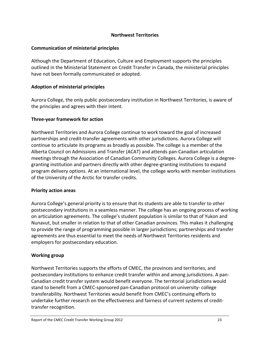# **Northwest Territories**

#### **Communication of ministerial principles**

Although the Department of Education, Culture and Employment supports the principles outlined in the Ministerial Statement on Credit Transfer in Canada, the ministerial principles have not been formally communicated or adopted.

# **Adoption of ministerial principles**

Aurora College, the only public postsecondary institution in Northwest Territories, is aware of the principles and agrees with their intent.

# **Three‐year framework for action**

Northwest Territories and Aurora College continue to work toward the goal of increased partnerships and credit‐transfer agreements with other jurisdictions. Aurora College will continue to articulate its programs as broadly as possible. The college is a member of the Alberta Council on Admissions and Transfer (ACAT) and attends pan‐Canadian articulation meetings through the Association of Canadian Community Colleges. Aurora College is a degree‐ granting institution and partners directly with other degree‐granting institutions to expand program delivery options. At an international level, the college works with member institutions of the University of the Arctic for transfer credits.

#### **Priority action areas**

Aurora College's general priority is to ensure that its students are able to transfer to other postsecondary institutions in a seamless manner. The college has an ongoing process of working on articulation agreements. The college's student population is similar to that of Yukon and Nunavut, but smaller in relation to that of other Canadian provinces. This makes it challenging to provide the range of programming possible in larger jurisdictions; partnerships and transfer agreements are thus essential to meet the needs of Northwest Territories residents and employers for postsecondary education.

# **Working group**

Northwest Territories supports the efforts of CMEC, the provinces and territories, and postsecondary institutions to enhance credit transfer within and among jurisdictions. A pan‐ Canadian credit transfer system would benefit everyone. The territorial jurisdictions would stand to benefit from a CMEC‐sponsored pan‐Canadian protocol on university‐ college transferability. Northwest Territories would benefit from CMEC's continuing efforts to undertake further research on the effectiveness and fairness of current systems of credit‐ transfer recognition.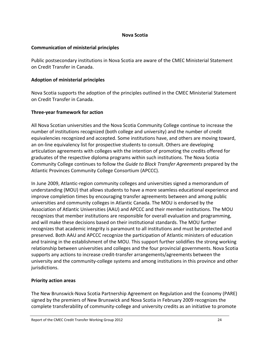#### **Nova Scotia**

#### **Communication of ministerial principles**

Public postsecondary institutions in Nova Scotia are aware of the CMEC Ministerial Statement on Credit Transfer in Canada.

# **Adoption of ministerial principles**

Nova Scotia supports the adoption of the principles outlined in the CMEC Ministerial Statement on Credit Transfer in Canada.

# **Three‐year framework for action**

All Nova Scotian universities and the Nova Scotia Community College continue to increase the number of institutions recognized (both college and university) and the number of credit equivalencies recognized and accepted. Some institutions have, and others are moving toward, an on‐line equivalency list for prospective students to consult. Others are developing articulation agreements with colleges with the intention of promoting the credits offered for graduates of the respective diploma programs within such institutions. The Nova Scotia Community College continues to follow the *Guide to Block Transfer Agreements* prepared by the Atlantic Provinces Community College Consortium (APCCC).

In June 2009, Atlantic-region community colleges and universities signed a memorandum of understanding (MOU) that allows students to have a more seamless educational experience and improve completion times by encouraging transfer agreements between and among public universities and community colleges in Atlantic Canada. The MOU is endorsed by the Association of Atlantic Universities (AAU) and APCCC and their member institutions. The MOU recognizes that member institutions are responsible for overall evaluation and programming, and will make these decisions based on their institutional standards. The MOU further recognizes that academic integrity is paramount to all institutions and must be protected and preserved. Both AAU and APCCC recognize the participation of Atlantic ministers of education and training in the establishment of the MOU. This support further solidifies the strong working relationship between universities and colleges and the four provincial governments. Nova Scotia supports any actions to increase credit‐transfer arrangements/agreements between the university and the community‐college systems and among institutions in this province and other jurisdictions.

#### **Priority action areas**

The New Brunswick‐Nova Scotia Partnership Agreement on Regulation and the Economy (PARE) signed by the premiers of New Brunswick and Nova Scotia in February 2009 recognizes the complete transferability of community‐college and university credits as an initiative to promote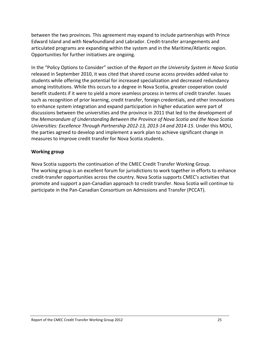between the two provinces. This agreement may expand to include partnerships with Prince Edward Island and with Newfoundland and Labrador. Credit‐transfer arrangements and articulated programs are expanding within the system and in the Maritime/Atlantic region. Opportunities for further initiatives are ongoing.

In the "Policy Options to Consider" section of the *Report on the University System in Nova Scotia* released in September 2010, it was cited that shared course access provides added value to students while offering the potential for increased specialization and decreased redundancy among institutions. While this occurs to a degree in Nova Scotia, greater cooperation could benefit students if it were to yield a more seamless process in terms of credit transfer. Issues such as recognition of prior learning, credit transfer, foreign credentials, and other innovations to enhance system integration and expand participation in higher education were part of discussions between the universities and the province in 2011 that led to the development of the *Memorandum of Understanding Between the Province of Nova Scotia and the Nova Scotia Universities: Excellence Through Partnership 2012‐13, 2013‐14 and 2014‐15*. Under this MOU, the parties agreed to develop and implement a work plan to achieve significant change in measures to improve credit transfer for Nova Scotia students.

#### **Working group**

Nova Scotia supports the continuation of the CMEC Credit Transfer Working Group. The working group is an excellent forum for jurisdictions to work together in efforts to enhance credit‐transfer opportunities across the country. Nova Scotia supports CMEC's activities that promote and support a pan‐Canadian approach to credit transfer. Nova Scotia will continue to participate in the Pan‐Canadian Consortium on Admissions and Transfer (PCCAT).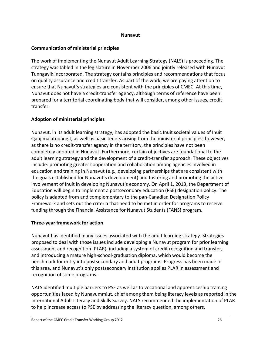#### **Nunavut**

#### **Communication of ministerial principles**

The work of implementing the Nunavut Adult Learning Strategy (NALS) is proceeding. The strategy was tabled in the legislature in November 2006 and jointly released with Nunavut Tunngavik Incorporated. The strategy contains principles and recommendations that focus on quality assurance and credit transfer. As part of the work, we are paying attention to ensure that Nunavut's strategies are consistent with the principles of CMEC. At this time, Nunavut does not have a credit‐transfer agency, although terms of reference have been prepared for a territorial coordinating body that will consider, among other issues, credit transfer.

# **Adoption of ministerial principles**

Nunavut, in its adult learning strategy, has adopted the basic Inuit societal values of Inuit Qaujimajatuqangit, as well as basic tenets arising from the ministerial principles; however, as there is no credit-transfer agency in the territory, the principles have not been completely adopted in Nunavut. Furthermore, certain objectives are foundational to the adult learning strategy and the development of a credit‐transfer approach. These objectives include: promoting greater cooperation and collaboration among agencies involved in education and training in Nunavut (e.g., developing partnerships that are consistent with the goals established for Nunavut's development) and fostering and promoting the active involvement of Inuit in developing Nunavut's economy. On April 1, 2013, the Department of Education will begin to implement a postsecondary education (PSE) designation policy. The policy is adapted from and complementary to the pan‐Canadian Designation Policy Framework and sets out the criteria that need to be met in order for programs to receive funding through the Financial Assistance for Nunavut Students (FANS) program.

#### **Three‐year framework for action**

Nunavut has identified many issues associated with the adult learning strategy. Strategies proposed to deal with those issues include developing a Nunavut program for prior learning assessment and recognition (PLAR), including a system of credit recognition and transfer, and introducing a mature high‐school‐graduation diploma, which would become the benchmark for entry into postsecondary and adult programs. Progress has been made in this area, and Nunavut's only postsecondary institution applies PLAR in assessment and recognition of some programs.

NALS identified multiple barriers to PSE as well as to vocational and apprenticeship training opportunities faced by Nunavummiut, chief among them being literacy levels as reported in the International Adult Literacy and Skills Survey. NALS recommended the implementation of PLAR to help increase access to PSE by addressing the literacy question, among others.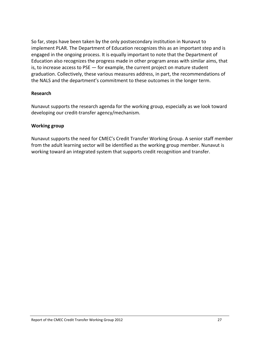So far, steps have been taken by the only postsecondary institution in Nunavut to implement PLAR. The Department of Education recognizes this as an important step and is engaged in the ongoing process. It is equally important to note that the Department of Education also recognizes the progress made in other program areas with similar aims, that is, to increase access to PSE — for example, the current project on mature student graduation. Collectively, these various measures address, in part, the recommendations of the NALS and the department's commitment to these outcomes in the longer term.

#### **Research**

Nunavut supports the research agenda for the working group, especially as we look toward developing our credit‐transfer agency/mechanism.

#### **Working group**

Nunavut supports the need for CMEC's Credit Transfer Working Group. A senior staff member from the adult learning sector will be identified as the working group member. Nunavut is working toward an integrated system that supports credit recognition and transfer.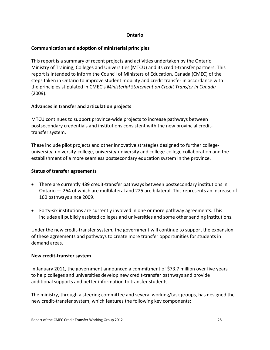#### **Ontario**

#### **Communication and adoption of ministerial principles**

This report is a summary of recent projects and activities undertaken by the Ontario Ministry of Training, Colleges and Universities (MTCU) and its credit‐transfer partners. This report is intended to inform the Council of Ministers of Education, Canada (CMEC) of the steps taken in Ontario to improve student mobility and credit transfer in accordance with the principles stipulated in CMEC's *Ministerial Statement on Credit Transfer in Canada* (2009).

# **Advances in transfer and articulation projects**

MTCU continues to support province‐wide projects to increase pathways between postsecondary credentials and institutions consistent with the new provincial credit‐ transfer system.

These include pilot projects and other innovative strategies designed to further college‐ university, university‐college, university‐university and college‐college collaboration and the establishment of a more seamless postsecondary education system in the province.

# **Status of transfer agreements**

- There are currently 489 credit-transfer pathways between postsecondary institutions in Ontario — 264 of which are multilateral and 225 are bilateral. This represents an increase of 160 pathways since 2009.
- Forty-six institutions are currently involved in one or more pathway agreements. This includes all publicly assisted colleges and universities and some other sending institutions.

Under the new credit‐transfer system, the government will continue to support the expansion of these agreements and pathways to create more transfer opportunities for students in demand areas.

#### **New credit‐transfer system**

In January 2011, the government announced a commitment of \$73.7 million over five years to help colleges and universities develop new credit‐transfer pathways and provide additional supports and better information to transfer students.

The ministry, through a steering committee and several working/task groups, has designed the new credit-transfer system, which features the following key components: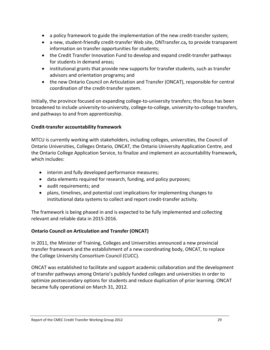- a policy framework to guide the implementation of the new credit‐transfer system;
- a new, student‐friendly credit‐transfer Web site, ONTransfer.ca**,** to provide transparent information on transfer opportunities for students;
- the Credit Transfer Innovation Fund to develop and expand credit‐transfer pathways for students in demand areas;
- institutional grants that provide new supports for transfe**r** students, such as transfer advisors and orientation programs**;** and
- the new Ontario Council on Articulation and Transfer (ONCAT), responsible for central coordination of the credit‐transfer system.

Initially, the province focused on expanding college‐to‐university transfers; this focus has been broadened to include university‐to‐university, college‐to‐college, university‐to‐college transfers, and pathways to and from apprenticeship.

# **Credit‐transfer accountability framework**

MTCU is currently working with stakeholders, including colleges, universities, the Council of Ontario Universities, Colleges Ontario, ONCAT, the Ontario University Application Centre, and the Ontario College Application Service, to finalize and implement an accountability framework**,** which includes:

- interim and fully developed performance measures;
- data elements required for research, funding, and policy purposes;
- audit requirements; and
- plans, timelines, and potential cost implications for implementing changes to institutional data systems to collect and report credit‐transfer activity.

The framework is being phased in and is expected to be fully implemented and collecting relevant and reliable data in 2015‐2016.

# **Ontario Council on Articulation and Transfer (ONCAT)**

In 2011, the Minister of Training, Colleges and Universities announced a new provincial transfer framework and the establishment of a new coordinating body, ONCAT, to replace the College University Consortium Council (CUCC).

ONCAT was established to facilitate and support academic collaboration and the development of transfer pathways among Ontario's publicly funded colleges and universities in order to optimize postsecondary options for students and reduce duplication of prior learning. ONCAT became fully operational on March 31, 2012.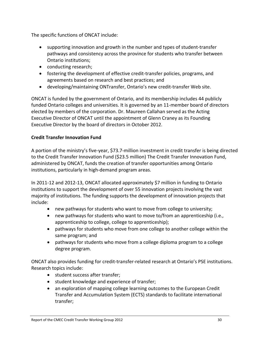The specific functions of ONCAT include:

- supporting innovation and growth in the number and types of student-transfer pathways and consistency across the province for students who transfer between Ontario institutions;
- conducting research;
- fostering the development of effective credit‐transfer policies, programs, and agreements based on research and best practices; and
- developing/maintaining ONTransfer, Ontario's new credit-transfer Web site.

ONCAT is funded by the government of Ontario, and its membership includes 44 publicly funded Ontario colleges and universities. It is governed by an 11‐member board of directors elected by members of the corporation. Dr. Maureen Callahan served as the Acting Executive Director of ONCAT until the appointment of Glenn Craney as its Founding Executive Director by the board of directors in October 2012.

# **Credit Transfer Innovation Fund**

A portion of the ministry's five‐year, \$73.7‐million investment in credit transfer is being directed to the Credit Transfer Innovation Fund (\$23.5 million) The Credit Transfer Innovation Fund, administered by ONCAT, funds the creation of transfer opportunities among Ontario institutions, particularly in high‐demand program areas.

In 2011‐12 and 2012‐13, ONCAT allocated approximately \$7 million in funding to Ontario institutions to support the development of over 55 innovation projects involving the vast majority of institutions. The funding supports the development of innovation projects that include:

- new pathways for students who want to move from college to university;
- new pathways for students who want to move to/from an apprenticeship (i.e., apprenticeship to college, college to apprenticeship);
- pathways for students who move from one college to another college within the same program; and
- pathways for students who move from a college diploma program to a college degree program.

ONCAT also provides funding for credit‐transfer‐related research at Ontario's PSE institutions. Research topics include:

- student success after transfer;
- student knowledge and experience of transfer;
- an exploration of mapping college learning outcomes to the European Credit Transfer and Accumulation System (ECTS) standards to facilitate international transfer;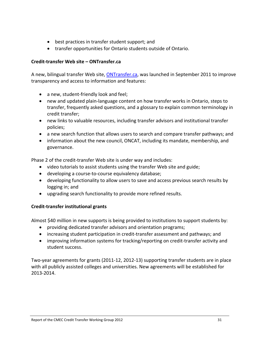- best practices in transfer student support; and
- transfer opportunities for Ontario students outside of Ontario.

#### **Credit‐transfer Web site – ONTransfer.ca**

A new, bilingual transfer Web site, *ONTransfer.ca*, was launched in September 2011 to improve transparency and access to information and features:

- a new, student-friendly look and feel;
- new and updated plain‐language content on how transfer works in Ontario, steps to transfer, frequently asked questions, and a glossary to explain common terminology in credit transfer;
- new links to valuable resources, including transfer advisors and institutional transfer policies;
- a new search function that allows users to search and compare transfer pathways; and
- information about the new council, ONCAT, including its mandate, membership, and governance.

Phase 2 of the credit‐transfer Web site is under way and includes:

- video tutorials to assist students using the transfer Web site and guide;
- developing a course-to-course equivalency database;
- developing functionality to allow users to save and access previous search results by logging in; and
- upgrading search functionality to provide more refined results.

#### **Credit‐transfer institutional grants**

Almost \$40 million in new supports is being provided to institutions to support students by:

- providing dedicated transfer advisors and orientation programs;
- increasing student participation in credit‐transfer assessment and pathways; and
- improving information systems for tracking/reporting on credit‐transfer activity and student success.

Two-year agreements for grants (2011-12, 2012-13) supporting transfer students are in place with all publicly assisted colleges and universities. New agreements will be established for 2013‐2014.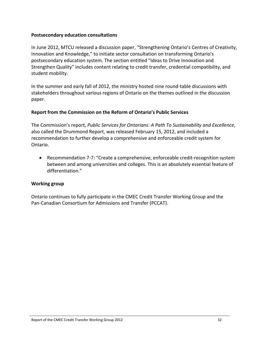#### **Postsecondary education consultations**

In June 2012, MTCU released a discussion paper, "Strengthening Ontario's Centres of Creativity, Innovation and Knowledge," to initiate sector consultation on transforming Ontario's postsecondary education system. The section entitled "Ideas to Drive Innovation and Strengthen Quality" includes content relating to credit transfer, credential compatibility, and student mobility.

In the summer and early fall of 2012, the ministry hosted nine round-table discussions with stakeholders throughout various regions of Ontario on the themes outlined in the discussion paper.

#### **Report from the Commission on the Reform of Ontario's Public Services**

The Commission's report, *Public Services for Ontarians: A Path To Sustainability and Excellence*, also called the Drummond Report, was released February 15, 2012, and included a recommendation to further develop a comprehensive and enforceable credit system for Ontario.

 Recommendation 7‐7: "Create a comprehensive, enforceable credit‐recognition system between and among universities and colleges. This is an absolutely essential feature of differentiation."

#### **Working group**

Ontario continues to fully participate in the CMEC Credit Transfer Working Group and the Pan‐Canadian Consortium for Admissions and Transfer (PCCAT).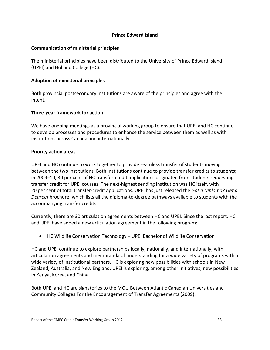#### **Prince Edward Island**

# **Communication of ministerial principles**

The ministerial principles have been distributed to the University of Prince Edward Island (UPEI) and Holland College (HC).

# **Adoption of ministerial principles**

Both provincial postsecondary institutions are aware of the principles and agree with the intent.

# **Three‐year framework for action**

We have ongoing meetings as a provincial working group to ensure that UPEI and HC continue to develop processes and procedures to enhance the service between them as well as with institutions across Canada and internationally.

# **Priority action areas**

UPEI and HC continue to work together to provide seamless transfer of students moving between the two institutions. Both institutions continue to provide transfer credits to students; in 2009–10, 30 per cent of HC transfer‐credit applications originated from students requesting transfer credit for UPEI courses. The next‐highest sending institution was HC itself, with 20 per cent of total transfer‐credit applications. UPEI has just released the *Got a Diploma? Get a Degree!* brochure, which lists all the diploma‐to‐degree pathways available to students with the accompanying transfer credits.

Currently, there are 30 articulation agreements between HC and UPEI. Since the last report, HC and UPEI have added a new articulation agreement in the following program:

HC Wildlife Conservation Technology – UPEI Bachelor of Wildlife Conservation

HC and UPEI continue to explore partnerships locally, nationally, and internationally, with articulation agreements and memoranda of understanding for a wide variety of programs with a wide variety of institutional partners. HC is exploring new possibilities with schools in New Zealand, Australia, and New England. UPEI is exploring, among other initiatives, new possibilities in Kenya, Korea, and China.

Both UPEI and HC are signatories to the MOU Between Atlantic Canadian Universities and Community Colleges For the Encouragement of Transfer Agreements (2009).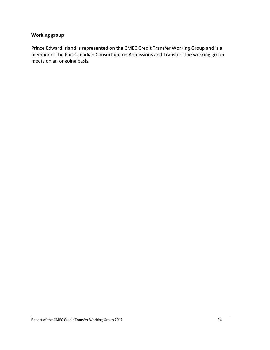# **Working group**

Prince Edward Island is represented on the CMEC Credit Transfer Working Group and is a member of the Pan‐Canadian Consortium on Admissions and Transfer. The working group meets on an ongoing basis.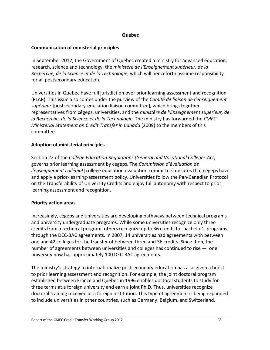#### **Quebec**

#### **Communication of ministerial principles**

In September 2012, the Government of Quebec created a ministry for advanced education, research, science and technology, the *ministère de l'Enseignement supérieur, de la Recherche, de la Science et de la Technologie*, which will henceforth assume responsibility for all postsecondary education.

Universities in Quebec have full jurisdiction over prior learning assessment and recognition (PLAR). This issue also comes under the purview of the *Comité de liaison de l'enseignement supérieur* [postsecondary‐education liaison committee], which brings together representatives from cégeps, universities, and the *ministère de l'Enseignement supérieur, de la Recherche, de la Science et de la Technologie*. The ministry has forwarded the *CMEC Ministerial Statement on Credit Transfer in Canada* (2009) to the members of this committee.

# **Adoption of ministerial principles**

Section 22 of the *College Education Regulations (General and Vocational Colleges Act)* governs prior learning assessment by cégeps. The *Commission d'évaluation de l'enseignement collégial* [college education evaluation committee] ensures that cégeps have and apply a prior‐learning‐assessment policy. Universities follow the Pan‐Canadian Protocol on the Transferability of University Credits and enjoy full autonomy with respect to prior learning assessment and recognition.

#### **Priority action areas**

Increasingly, cégeps and universities are developing pathways between technical programs and university undergraduate programs. While some universities recognize only three credits from a technical program, others recognize up to 36 credits for bachelor's programs, through the DEC‐BAC agreements. In 2007, 14 universities had agreements with between one and 42 colleges for the transfer of between three and 36 credits. Since then, the number of agreements between universities and colleges has continued to rise  $-$  one university now has approximately 100 DEC‐BAC agreements.

The ministry's strategy to internationalize postsecondary education has also given a boost to prior learning assessment and recognition. For example, the joint doctoral program established between France and Quebec in 1996 enables doctoral students to study for three terms at a foreign university and earn a joint Ph.D. Thus, universities recognize doctoral training received at a foreign institution. This type of agreement is being expanded to include universities in other countries, such as Germany, Belgium, and Switzerland.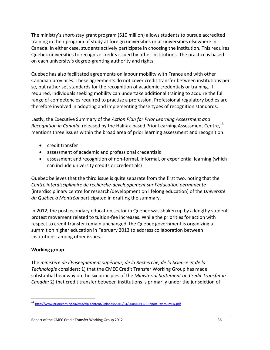The ministry's short‐stay grant program (\$10 million) allows students to pursue accredited training in their program of study at foreign universities or at universities elsewhere in Canada. In either case, students actively participate in choosing the institution. This requires Quebec universities to recognize credits issued by other institutions. The practice is based on each university's degree‐granting authority and rights.

Quebec has also facilitated agreements on labour mobility with France and with other Canadian provinces. These agreements do not cover credit transfer between institutions per se, but rather set standards for the recognition of academic credentials or training. If required, individuals seeking mobility can undertake additional training to acquire the full range of competencies required to practise a profession. Professional regulatory bodies are therefore involved in adopting and implementing these types of recognition standards.

Lastly, the Executive Summary of the *Action Plan for Prior Learning Assessment and Recognition in Canada*, released by the Halifax‐based Prior Learning Assessment Centre,13 mentions three issues within the broad area of prior learning assessment and recognition:

- credit transfer
- assessment of academic and professional credentials
- assessment and recognition of non-formal, informal, or experiential learning (which can include university credits or credentials)

Quebec believes that the third issue is quite separate from the first two, noting that the *Centre interdisciplinaire de recherche‐développement sur l'éducation permanente* [interdisciplinary centre for research/development on lifelong education] of the *Université du Québec à Montréal* participated in drafting the summary.

In 2012, the postsecondary education sector in Quebec was shaken up by a lengthy student protest movement related to tuition‐fee increases. While the priorities for action with respect to credit transfer remain unchanged, the Quebec government is organizing a summit on higher education in February 2013 to address collaboration between institutions, among other issues.

# **Working group**

The *ministère de l'Enseignement supérieur, de la Recherche, de la Science et de la Technologie* considers: 1) that the CMEC Credit Transfer Working Group has made substantial headway on the six principles of the *Ministerial Statement on Credit Transfer in Canada;* 2) that credit transfer between institutions is primarily under the jurisdiction of

http://www.priorlearning.ca/cms/wp-content/uploads/2010/04/200810PLAR-Report-ExecSumEN.pdf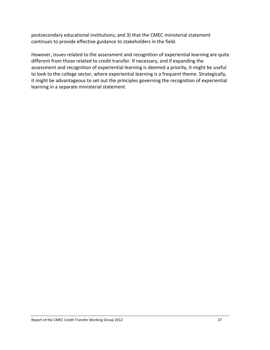postsecondary educational institutions; and 3) that the CMEC ministerial statement continues to provide effective guidance to stakeholders in the field.

However, issues related to the assessment and recognition of experiential learning are quite different from those related to credit transfer. If necessary, and if expanding the assessment and recognition of experiential learning is deemed a priority, it might be useful to look to the college sector, where experiential learning is a frequent theme. Strategically, it might be advantageous to set out the principles governing the recognition of experiential learning in a separate ministerial statement.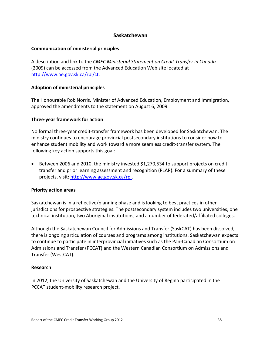#### **Saskatchewan**

#### **Communication of ministerial principles**

A description and link to the *CMEC Ministerial Statement on Credit Transfer in Canada* (2009) can be accessed from the Advanced Education Web site located at http://www.ae.gov.sk.ca/rpl/ct.

#### **Adoption of ministerial principles**

The Honourable Rob Norris, Minister of Advanced Education, Employment and Immigration, approved the amendments to the statement on August 6, 2009.

#### **Three‐year framework for action**

No formal three‐year credit‐transfer framework has been developed for Saskatchewan. The ministry continues to encourage provincial postsecondary institutions to consider how to enhance student mobility and work toward a more seamless credit‐transfer system. The following key action supports this goal:

 Between 2006 and 2010, the ministry invested \$1,270,534 to support projects on credit transfer and prior learning assessment and recognition (PLAR). For a summary of these projects, visit: http://www.ae.gov.sk.ca/rpl.

#### **Priority action areas**

Saskatchewan is in a reflective/planning phase and is looking to best practices in other jurisdictions for prospective strategies. The postsecondary system includes two universities, one technical institution, two Aboriginal institutions, and a number of federated/affiliated colleges.

Although the Saskatchewan Council for Admissions and Transfer (SaskCAT) has been dissolved, there is ongoing articulation of courses and programs among institutions. Saskatchewan expects to continue to participate in interprovincial initiatives such as the Pan‐Canadian Consortium on Admissions and Transfer (PCCAT) and the Western Canadian Consortium on Admissions and Transfer (WestCAT).

#### **Research**

In 2012, the University of Saskatchewan and the University of Regina participated in the PCCAT student‐mobility research project.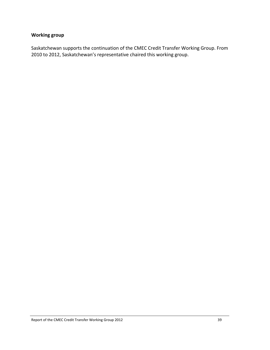# **Working group**

Saskatchewan supports the continuation of the CMEC Credit Transfer Working Group. From 2010 to 2012, Saskatchewan's representative chaired this working group.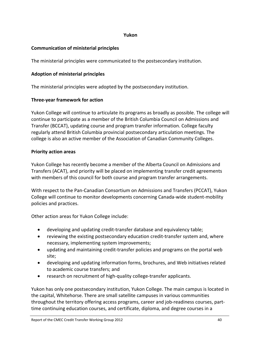#### **Yukon**

# **Communication of ministerial principles**

The ministerial principles were communicated to the postsecondary institution.

# **Adoption of ministerial principles**

The ministerial principles were adopted by the postsecondary institution.

# **Three‐year framework for action**

Yukon College will continue to articulate its programs as broadly as possible. The college will continue to participate as a member of the British Columbia Council on Admissions and Transfer (BCCAT), updating course and program transfer information. College faculty regularly attend British Columbia provincial postsecondary articulation meetings. The college is also an active member of the Association of Canadian Community Colleges.

# **Priority action areas**

Yukon College has recently become a member of the Alberta Council on Admissions and Transfers (ACAT), and priority will be placed on implementing transfer credit agreements with members of this council for both course and program transfer arrangements.

With respect to the Pan‐Canadian Consortium on Admissions and Transfers (PCCAT), Yukon College will continue to monitor developments concerning Canada‐wide student‐mobility policies and practices.

Other action areas for Yukon College include:

- developing and updating credit‐transfer database and equivalency table;
- reviewing the existing postsecondary education credit‐transfer system and, where necessary, implementing system improvements;
- updating and maintaining credit-transfer policies and programs on the portal web site;
- developing and updating information forms, brochures, and Web initiatives related to academic course transfers; and
- research on recruitment of high-quality college-transfer applicants.

Yukon has only one postsecondary institution, Yukon College. The main campus is located in the capital, Whitehorse. There are small satellite campuses in various communities throughout the territory offering access programs, career and job-readiness courses, parttime continuing education courses, and certificate, diploma, and degree courses in a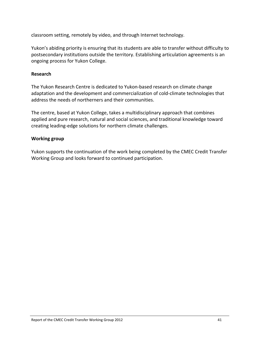classroom setting, remotely by video, and through Internet technology.

Yukon's abiding priority is ensuring that its students are able to transfer without difficulty to postsecondary institutions outside the territory. Establishing articulation agreements is an ongoing process for Yukon College.

# **Research**

The Yukon Research Centre is dedicated to Yukon‐based research on climate change adaptation and the development and commercialization of cold‐climate technologies that address the needs of northerners and their communities.

The centre, based at Yukon College, takes a multidisciplinary approach that combines applied and pure research, natural and social sciences, and traditional knowledge toward creating leading‐edge solutions for northern climate challenges.

# **Working group**

Yukon supports the continuation of the work being completed by the CMEC Credit Transfer Working Group and looks forward to continued participation.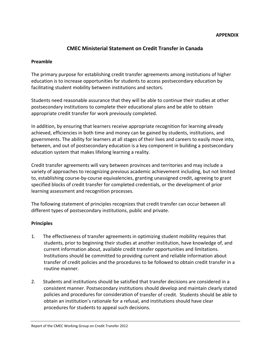#### **APPENDIX**

# **CMEC Ministerial Statement on Credit Transfer in Canada**

#### **Preamble**

The primary purpose for establishing credit transfer agreements among institutions of higher education is to increase opportunities for students to access postsecondary education by facilitating student mobility between institutions and sectors.

Students need reasonable assurance that they will be able to continue their studies at other postsecondary institutions to complete their educational plans and be able to obtain appropriate credit transfer for work previously completed.

In addition, by ensuring that learners receive appropriate recognition for learning already achieved, efficiencies in both time and money can be gained by students, institutions, and governments. The ability for learners at all stages of their lives and careers to easily move into, between, and out of postsecondary education is a key component in building a postsecondary education system that makes lifelong learning a reality.

Credit transfer agreements will vary between provinces and territories and may include a variety of approaches to recognizing previous academic achievement including, but not limited to, establishing course‐by‐course equivalencies, granting unassigned credit, agreeing to grant specified blocks of credit transfer for completed credentials, or the development of prior learning assessment and recognition processes.

The following statement of principles recognizes that credit transfer can occur between all different types of postsecondary institutions, public and private.

#### **Principles**

- 1. The effectiveness of transfer agreements in optimizing student mobility requires that students, prior to beginning their studies at another institution, have knowledge of, and current information about, available credit transfer opportunities and limitations. Institutions should be committed to providing current and reliable information about transfer of credit policies and the procedures to be followed to obtain credit transfer in a routine manner.
- 2. Students and institutions should be satisfied that transfer decisions are considered in a consistent manner. Postsecondary institutions should develop and maintain clearly stated policies and procedures for consideration of transfer of credit. Students should be able to obtain an institution's rationale for a refusal, and institutions should have clear procedures for students to appeal such decisions.